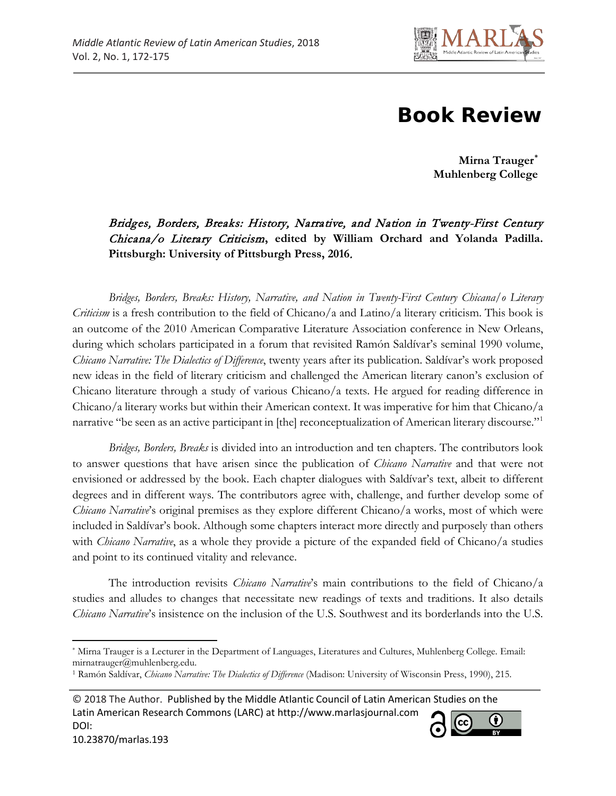

## **Book Review**

**Mirna Trauger[\\*](#page-0-0) Muhlenberg College**

Bridges, Borders, Breaks: History, Narrative, and Nation in Twenty-First Century Chicana/o Literary Criticism**, edited by William Orchard and Yolanda Padilla. Pittsburgh: University of Pittsburgh Press, 2016**.

*Bridges, Borders, Breaks: History, Narrative, and Nation in Twenty-First Century Chicana/o Literary Criticism* is a fresh contribution to the field of Chicano/a and Latino/a literary criticism. This book is an outcome of the 2010 American Comparative Literature Association conference in New Orleans, during which scholars participated in a forum that revisited Ramón Saldívar's seminal 1990 volume, *Chicano Narrative: The Dialectics of Difference*, twenty years after its publication. Saldívar's work proposed new ideas in the field of literary criticism and challenged the American literary canon's exclusion of Chicano literature through a study of various Chicano/a texts. He argued for reading difference in Chicano/a literary works but within their American context. It was imperative for him that Chicano/a narrative "be seen as an active participant in [the] reconceptualization of American literary discourse."[1](#page-0-1)

*Bridges, Borders, Breaks* is divided into an introduction and ten chapters. The contributors look to answer questions that have arisen since the publication of *Chicano Narrative* and that were not envisioned or addressed by the book. Each chapter dialogues with Saldívar's text, albeit to different degrees and in different ways. The contributors agree with, challenge, and further develop some of *Chicano Narrative*'s original premises as they explore different Chicano/a works, most of which were included in Saldívar's book. Although some chapters interact more directly and purposely than others with *Chicano Narrative*, as a whole they provide a picture of the expanded field of Chicano/a studies and point to its continued vitality and relevance.

The introduction revisits *Chicano Narrative*'s main contributions to the field of Chicano/a studies and alludes to changes that necessitate new readings of texts and traditions. It also details *Chicano Narrative*'s insistence on the inclusion of the U.S. Southwest and its borderlands into the U.S.

 $\overline{\phantom{a}}$ 



<span id="page-0-0"></span><sup>\*</sup> Mirna Trauger is a Lecturer in the Department of Languages, Literatures and Cultures, Muhlenberg College. Email: mirnatrauger@muhlenberg.edu.

<span id="page-0-1"></span><sup>1</sup> Ramón Saldívar, *Chicano Narrative: The Dialectics of Difference* (Madison: University of Wisconsin Press, 1990), 215.

<sup>© 2018</sup> The Author. Published by the Middle Atlantic Council of Latin American Studies on the Latin American Research Commons (LARC) at http://www.marlasjournal.com G) DOI: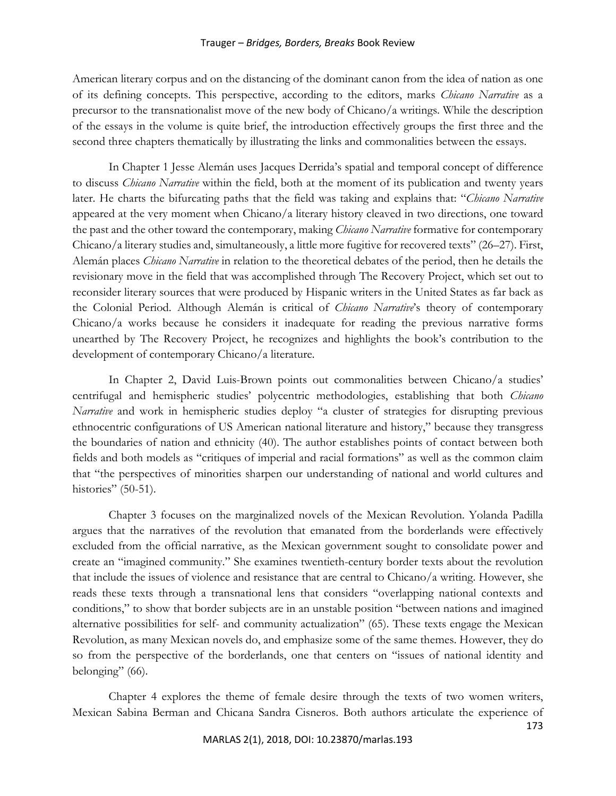## Trauger – *Bridges, Borders, Breaks* Book Review

American literary corpus and on the distancing of the dominant canon from the idea of nation as one of its defining concepts. This perspective, according to the editors, marks *Chicano Narrative* as a precursor to the transnationalist move of the new body of Chicano/a writings. While the description of the essays in the volume is quite brief, the introduction effectively groups the first three and the second three chapters thematically by illustrating the links and commonalities between the essays.

In Chapter 1 Jesse Alemán uses Jacques Derrida's spatial and temporal concept of difference to discuss *Chicano Narrative* within the field, both at the moment of its publication and twenty years later. He charts the bifurcating paths that the field was taking and explains that: "*Chicano Narrative* appeared at the very moment when Chicano/a literary history cleaved in two directions, one toward the past and the other toward the contemporary, making *Chicano Narrative* formative for contemporary Chicano/a literary studies and, simultaneously, a little more fugitive for recovered texts" (26–27). First, Alemán places *Chicano Narrative* in relation to the theoretical debates of the period, then he details the revisionary move in the field that was accomplished through The Recovery Project, which set out to reconsider literary sources that were produced by Hispanic writers in the United States as far back as the Colonial Period. Although Alemán is critical of *Chicano Narrative*'s theory of contemporary Chicano/a works because he considers it inadequate for reading the previous narrative forms unearthed by The Recovery Project, he recognizes and highlights the book's contribution to the development of contemporary Chicano/a literature.

In Chapter 2, David Luis-Brown points out commonalities between Chicano/a studies' centrifugal and hemispheric studies' polycentric methodologies, establishing that both *Chicano Narrative* and work in hemispheric studies deploy "a cluster of strategies for disrupting previous ethnocentric configurations of US American national literature and history," because they transgress the boundaries of nation and ethnicity (40). The author establishes points of contact between both fields and both models as "critiques of imperial and racial formations" as well as the common claim that "the perspectives of minorities sharpen our understanding of national and world cultures and histories" (50-51).

Chapter 3 focuses on the marginalized novels of the Mexican Revolution. Yolanda Padilla argues that the narratives of the revolution that emanated from the borderlands were effectively excluded from the official narrative, as the Mexican government sought to consolidate power and create an "imagined community." She examines twentieth-century border texts about the revolution that include the issues of violence and resistance that are central to Chicano/a writing. However, she reads these texts through a transnational lens that considers "overlapping national contexts and conditions," to show that border subjects are in an unstable position "between nations and imagined alternative possibilities for self- and community actualization" (65). These texts engage the Mexican Revolution, as many Mexican novels do, and emphasize some of the same themes. However, they do so from the perspective of the borderlands, one that centers on "issues of national identity and belonging" (66).

Chapter 4 explores the theme of female desire through the texts of two women writers, Mexican Sabina Berman and Chicana Sandra Cisneros. Both authors articulate the experience of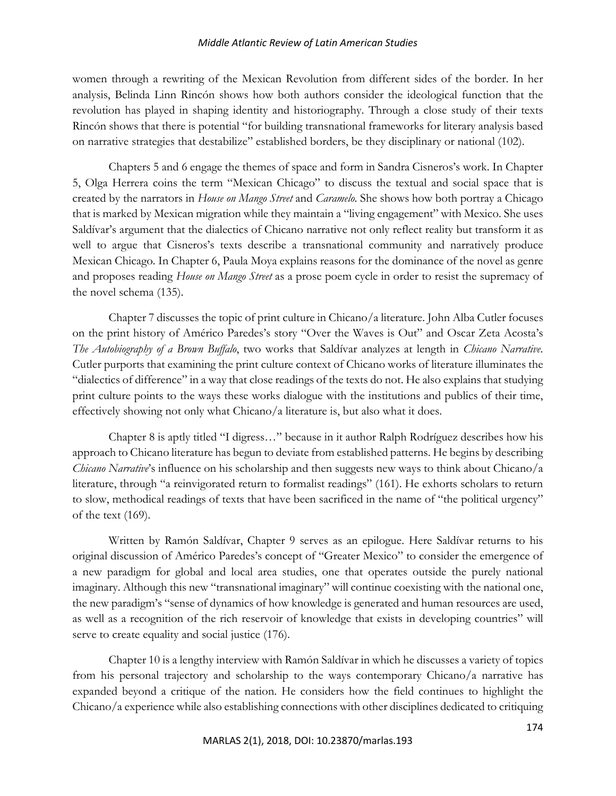## *Middle Atlantic Review of Latin American Studies*

women through a rewriting of the Mexican Revolution from different sides of the border. In her analysis, Belinda Linn Rincón shows how both authors consider the ideological function that the revolution has played in shaping identity and historiography. Through a close study of their texts Rincón shows that there is potential "for building transnational frameworks for literary analysis based on narrative strategies that destabilize" established borders, be they disciplinary or national (102).

Chapters 5 and 6 engage the themes of space and form in Sandra Cisneros's work. In Chapter 5, Olga Herrera coins the term "Mexican Chicago" to discuss the textual and social space that is created by the narrators in *House on Mango Street* and *Caramelo*. She shows how both portray a Chicago that is marked by Mexican migration while they maintain a "living engagement" with Mexico. She uses Saldívar's argument that the dialectics of Chicano narrative not only reflect reality but transform it as well to argue that Cisneros's texts describe a transnational community and narratively produce Mexican Chicago. In Chapter 6, Paula Moya explains reasons for the dominance of the novel as genre and proposes reading *House on Mango Street* as a prose poem cycle in order to resist the supremacy of the novel schema (135).

Chapter 7 discusses the topic of print culture in Chicano/a literature. John Alba Cutler focuses on the print history of Américo Paredes's story "Over the Waves is Out" and Oscar Zeta Acosta's *The Autobiography of a Brown Buffalo*, two works that Saldívar analyzes at length in *Chicano Narrative*. Cutler purports that examining the print culture context of Chicano works of literature illuminates the "dialectics of difference" in a way that close readings of the texts do not. He also explains that studying print culture points to the ways these works dialogue with the institutions and publics of their time, effectively showing not only what Chicano/a literature is, but also what it does.

Chapter 8 is aptly titled "I digress…" because in it author Ralph Rodríguez describes how his approach to Chicano literature has begun to deviate from established patterns. He begins by describing *Chicano Narrative*'s influence on his scholarship and then suggests new ways to think about Chicano/a literature, through "a reinvigorated return to formalist readings" (161). He exhorts scholars to return to slow, methodical readings of texts that have been sacrificed in the name of "the political urgency" of the text (169).

Written by Ramón Saldívar, Chapter 9 serves as an epilogue. Here Saldívar returns to his original discussion of Américo Paredes's concept of "Greater Mexico" to consider the emergence of a new paradigm for global and local area studies, one that operates outside the purely national imaginary. Although this new "transnational imaginary" will continue coexisting with the national one, the new paradigm's "sense of dynamics of how knowledge is generated and human resources are used, as well as a recognition of the rich reservoir of knowledge that exists in developing countries" will serve to create equality and social justice (176).

Chapter 10 is a lengthy interview with Ramón Saldívar in which he discusses a variety of topics from his personal trajectory and scholarship to the ways contemporary Chicano/a narrative has expanded beyond a critique of the nation. He considers how the field continues to highlight the Chicano/a experience while also establishing connections with other disciplines dedicated to critiquing